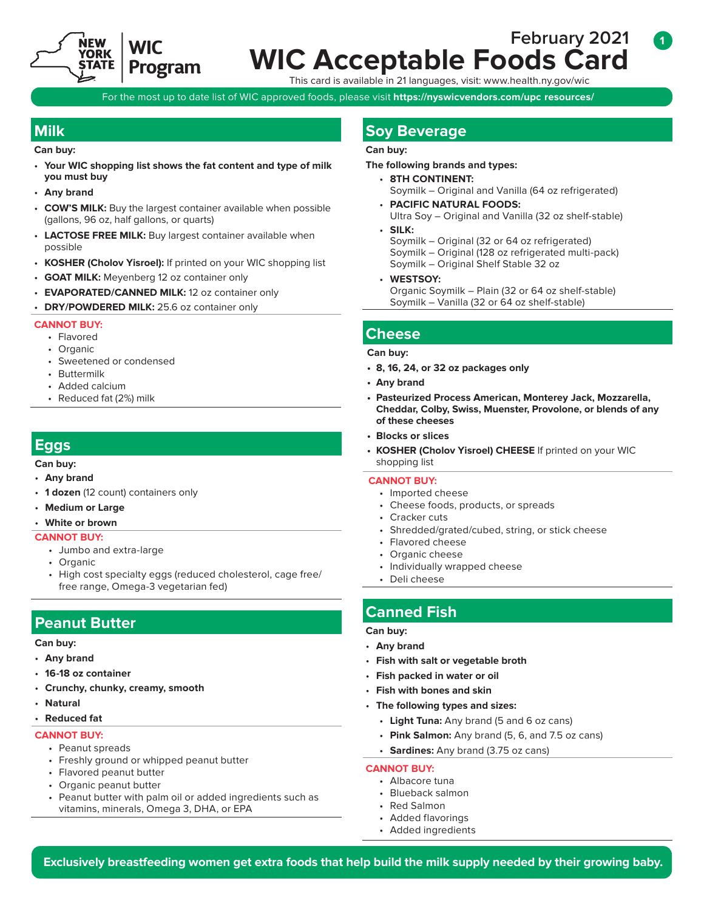

# **February 2021 WIC Program WIC Acceptable Foods Card**

This card is available in 21 languages, visit: [www.health.ny.gov/wic](http://www.health.ny.gov/prevention/nutrition/wic/)

For the most up to date list of WIC approved foods, please visit **https://nyswicvendors.com/upc resources/ -**

**Can buy:** 

- **Your WIC shopping list shows the fat content and type of milk you must buy**
- **Any brand**
- **COW'S MILK:** Buy the largest container available when possible (gallons, 96 oz, half gallons, or quarts)
- **LACTOSE FREE MILK:** Buy largest container available when possible
- **KOSHER (Cholov Yisroel):** If printed on your WIC shopping list
- **GOAT MILK:** Meyenberg 12 oz container only
- **EVAPORATED/CANNED MILK:** 12 oz container only
- **DRY/POWDERED MILK:** 25.6 oz container only

### **CANNOT BUY:**

- Flavored
- Organic
- Sweetened or condensed
- Buttermilk
- Added calcium
- Reduced fat (2%) milk

## **Eggs**

**Can buy:** 

- **Any brand**
- **1 dozen** (12 count) containers only
- **Medium or Large**
- **White or brown**

#### **CANNOT BUY:**

- Jumbo and extra-large
- Organic
- High cost specialty eggs (reduced cholesterol, cage free/ free range, Omega-3 vegetarian fed)

## **Peanut Butter**

#### **Can buy:**

- **Any brand**
- **16-18 oz container**
- **Crunchy, chunky, creamy, smooth**
- **Natural**
- **Reduced fat**

#### **CANNOT BUY:**

- Peanut spreads
- Freshly ground or whipped peanut butter
- Flavored peanut butter
- Organic peanut butter
- Peanut butter with palm oil or added ingredients such as vitamins, minerals, Omega 3, DHA, or EPA

## **Milk Soy Beverage Milk Soy Beverage**

### **Can buy:**

#### **The following brands and types:**

- **8TH CONTINENT:**  Soymilk – Original and Vanilla (64 oz refrigerated)
- **PACIFIC NATURAL FOODS:**  Ultra Soy – Original and Vanilla (32 oz shelf-stable) • **SILK:**
- Soymilk Original (32 or 64 oz refrigerated) Soymilk – Original (128 oz refrigerated multi-pack) Soymilk – Original Shelf Stable 32 oz
- **WESTSOY:**  Organic Soymilk – Plain (32 or 64 oz shelf-stable) Soymilk – Vanilla (32 or 64 oz shelf-stable)

## **Cheese**

#### **Can buy:**

- **8, 16, 24, or 32 oz packages only**
- **Any brand**
- **Pasteurized Process American, Monterey Jack, Mozzarella, Cheddar, Colby, Swiss, Muenster, Provolone, or blends of any of these cheeses**
- **Blocks or slices**
- **KOSHER (Cholov Yisroel) CHEESE** If printed on your WIC shopping list

#### **CANNOT BUY:**

- Imported cheese
- Cheese foods, products, or spreads
- Cracker cuts
- Shredded/grated/cubed, string, or stick cheese
- Flavored cheese
- Organic cheese
- Individually wrapped cheese
- Deli cheese

## **Canned Fish**

#### **Can buy:**

- **Any brand**
- **Fish with salt or vegetable broth**
- **Fish packed in water or oil**
- **Fish with bones and skin**
- **The following types and sizes:** 
	- **Light Tuna:** Any brand (5 and 6 oz cans)
	- **Pink Salmon:** Any brand (5, 6, and 7.5 oz cans)
	- **Sardines:** Any brand (3.75 oz cans)

#### **CANNOT BUY:**

- Albacore tuna
- Blueback salmon
- Red Salmon
- Added flavorings
- Added ingredients

**1**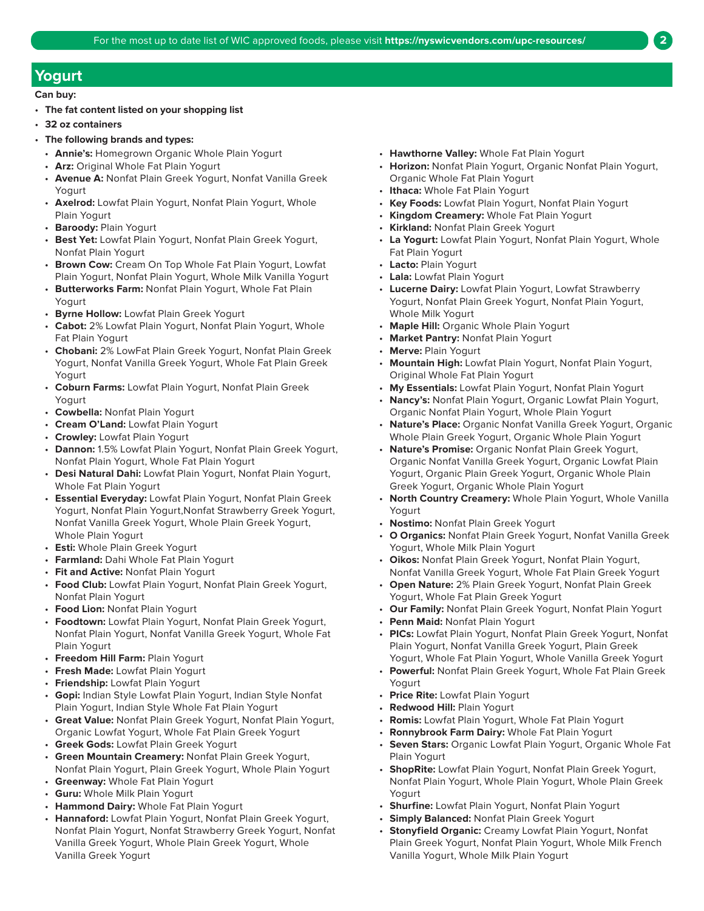## **Yogurt**

- **The fat content listed on your shopping list**
- **32 oz containers**
- **The following brands and types:** 
	- **Annie's:** Homegrown Organic Whole Plain Yogurt
	- **Arz:** Original Whole Fat Plain Yogurt
	- **Avenue A:** Nonfat Plain Greek Yogurt, Nonfat Vanilla Greek Yogurt
	- **Axelrod:** Lowfat Plain Yogurt, Nonfat Plain Yogurt, Whole Plain Yogurt
	- **Baroody:** Plain Yogurt
	- **Best Yet:** Lowfat Plain Yogurt, Nonfat Plain Greek Yogurt, Nonfat Plain Yogurt
	- **Brown Cow:** Cream On Top Whole Fat Plain Yogurt, Lowfat Plain Yogurt, Nonfat Plain Yogurt, Whole Milk Vanilla Yogurt
	- **Butterworks Farm:** Nonfat Plain Yogurt, Whole Fat Plain Yogurt
	- **Byrne Hollow:** Lowfat Plain Greek Yogurt
	- **Cabot:** 2% Lowfat Plain Yogurt, Nonfat Plain Yogurt, Whole Fat Plain Yogurt
	- **Chobani:** 2% LowFat Plain Greek Yogurt, Nonfat Plain Greek Yogurt, Nonfat Vanilla Greek Yogurt, Whole Fat Plain Greek Yogurt
	- **Coburn Farms:** Lowfat Plain Yogurt, Nonfat Plain Greek Yogurt
	- **Cowbella:** Nonfat Plain Yogurt
	- **Cream O'Land:** Lowfat Plain Yogurt
	- **Crowley:** Lowfat Plain Yogurt
	- **Dannon:** 1.5% Lowfat Plain Yogurt, Nonfat Plain Greek Yogurt, Nonfat Plain Yogurt, Whole Fat Plain Yogurt
	- **Desi Natural Dahi:** Lowfat Plain Yogurt, Nonfat Plain Yogurt, Whole Fat Plain Yogurt
	- **Essential Everyday:** Lowfat Plain Yogurt, Nonfat Plain Greek Yogurt, Nonfat Plain Yogurt,Nonfat Strawberry Greek Yogurt, Nonfat Vanilla Greek Yogurt, Whole Plain Greek Yogurt, Whole Plain Yogurt
	- **Esti:** Whole Plain Greek Yogurt
	- **Farmland:** Dahi Whole Fat Plain Yogurt
	- **Fit and Active:** Nonfat Plain Yogurt
	- **Food Club:** Lowfat Plain Yogurt, Nonfat Plain Greek Yogurt, Nonfat Plain Yogurt
	- **Food Lion:** Nonfat Plain Yogurt
	- **Foodtown:** Lowfat Plain Yogurt, Nonfat Plain Greek Yogurt, Nonfat Plain Yogurt, Nonfat Vanilla Greek Yogurt, Whole Fat Plain Yogurt
	- **Freedom Hill Farm:** Plain Yogurt
	- **Fresh Made:** Lowfat Plain Yogurt
	- **Friendship:** Lowfat Plain Yogurt
	- **Gopi:** Indian Style Lowfat Plain Yogurt, Indian Style Nonfat Plain Yogurt, Indian Style Whole Fat Plain Yogurt
	- **Great Value:** Nonfat Plain Greek Yogurt, Nonfat Plain Yogurt, Organic Lowfat Yogurt, Whole Fat Plain Greek Yogurt
	- **Greek Gods:** Lowfat Plain Greek Yogurt
	- **Green Mountain Creamery:** Nonfat Plain Greek Yogurt, Nonfat Plain Yogurt, Plain Greek Yogurt, Whole Plain Yogurt
	- **Greenway:** Whole Fat Plain Yogurt
	- **Guru:** Whole Milk Plain Yogurt
	- **Hammond Dairy:** Whole Fat Plain Yogurt
	- **Hannaford:** Lowfat Plain Yogurt, Nonfat Plain Greek Yogurt, Nonfat Plain Yogurt, Nonfat Strawberry Greek Yogurt, Nonfat Vanilla Greek Yogurt, Whole Plain Greek Yogurt, Whole Vanilla Greek Yogurt
- **Hawthorne Valley:** Whole Fat Plain Yogurt
- **Horizon:** Nonfat Plain Yogurt, Organic Nonfat Plain Yogurt, Organic Whole Fat Plain Yogurt
- **Ithaca:** Whole Fat Plain Yogurt
- **Key Foods:** Lowfat Plain Yogurt, Nonfat Plain Yogurt
- **Kingdom Creamery:** Whole Fat Plain Yogurt
- **Kirkland:** Nonfat Plain Greek Yogurt
- **La Yogurt:** Lowfat Plain Yogurt, Nonfat Plain Yogurt, Whole Fat Plain Yogurt
- **Lacto:** Plain Yogurt
- **Lala:** Lowfat Plain Yogurt
- **Lucerne Dairy:** Lowfat Plain Yogurt, Lowfat Strawberry Yogurt, Nonfat Plain Greek Yogurt, Nonfat Plain Yogurt, Whole Milk Yogurt
- **Maple Hill:** Organic Whole Plain Yogurt
- **Market Pantry:** Nonfat Plain Yogurt
- **Merve:** Plain Yogurt
- **Mountain High:** Lowfat Plain Yogurt, Nonfat Plain Yogurt, Original Whole Fat Plain Yogurt
- **My Essentials:** Lowfat Plain Yogurt, Nonfat Plain Yogurt
- **Nancy's:** Nonfat Plain Yogurt, Organic Lowfat Plain Yogurt, Organic Nonfat Plain Yogurt, Whole Plain Yogurt
- **Nature's Place:** Organic Nonfat Vanilla Greek Yogurt, Organic Whole Plain Greek Yogurt, Organic Whole Plain Yogurt
- **Nature's Promise:** Organic Nonfat Plain Greek Yogurt, Organic Nonfat Vanilla Greek Yogurt, Organic Lowfat Plain Yogurt, Organic Plain Greek Yogurt, Organic Whole Plain Greek Yogurt, Organic Whole Plain Yogurt
- **North Country Creamery:** Whole Plain Yogurt, Whole Vanilla Yogurt
- **Nostimo:** Nonfat Plain Greek Yogurt
- **O Organics:** Nonfat Plain Greek Yogurt, Nonfat Vanilla Greek Yogurt, Whole Milk Plain Yogurt
- **Oikos:** Nonfat Plain Greek Yogurt, Nonfat Plain Yogurt, Nonfat Vanilla Greek Yogurt, Whole Fat Plain Greek Yogurt
- **Open Nature:** 2% Plain Greek Yogurt, Nonfat Plain Greek Yogurt, Whole Fat Plain Greek Yogurt
- **Our Family:** Nonfat Plain Greek Yogurt, Nonfat Plain Yogurt
- **Penn Maid:** Nonfat Plain Yogurt
- **PICs:** Lowfat Plain Yogurt, Nonfat Plain Greek Yogurt, Nonfat Plain Yogurt, Nonfat Vanilla Greek Yogurt, Plain Greek Yogurt, Whole Fat Plain Yogurt, Whole Vanilla Greek Yogurt
- **Powerful:** Nonfat Plain Greek Yogurt, Whole Fat Plain Greek Yogurt
- **Price Rite:** Lowfat Plain Yogurt
- **Redwood Hill:** Plain Yogurt
- **Romis:** Lowfat Plain Yogurt, Whole Fat Plain Yogurt
- **Ronnybrook Farm Dairy:** Whole Fat Plain Yogurt
- **Seven Stars:** Organic Lowfat Plain Yogurt, Organic Whole Fat Plain Yogurt
- **ShopRite:** Lowfat Plain Yogurt, Nonfat Plain Greek Yogurt, Nonfat Plain Yogurt, Whole Plain Yogurt, Whole Plain Greek Yogurt
- **Shurfine:** Lowfat Plain Yogurt, Nonfat Plain Yogurt
- **Simply Balanced:** Nonfat Plain Greek Yogurt
- **Stonyfield Organic:** Creamy Lowfat Plain Yogurt, Nonfat Plain Greek Yogurt, Nonfat Plain Yogurt, Whole Milk French Vanilla Yogurt, Whole Milk Plain Yogurt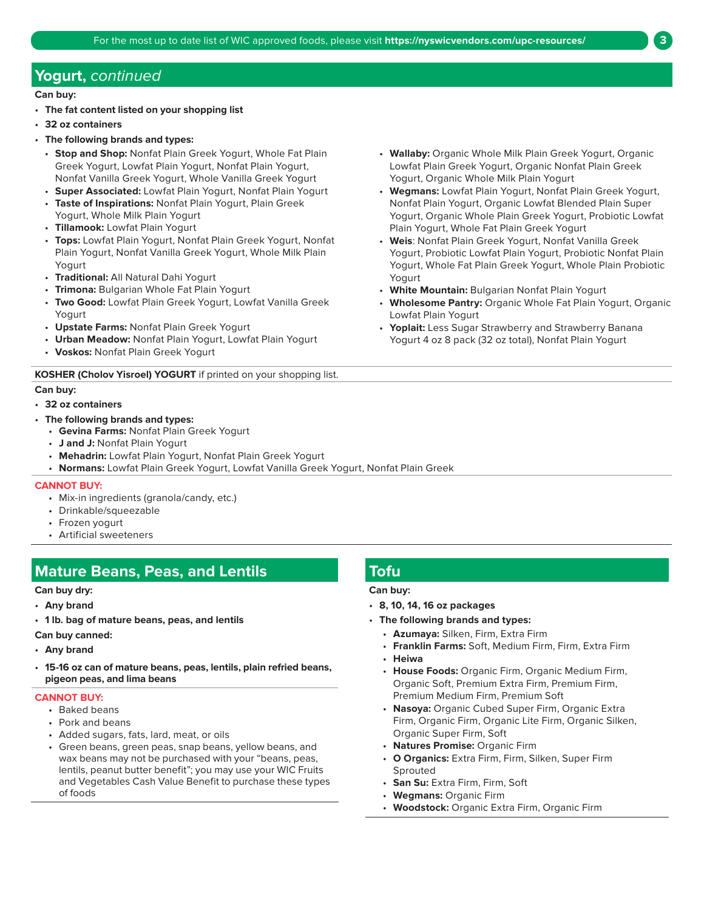## **Yogurt,** continued

**Can buy:** 

- **The fat content listed on your shopping list**
- **32 oz containers**
- **The following brands and types:** 
	- **Stop and Shop:** Nonfat Plain Greek Yogurt, Whole Fat Plain Greek Yogurt, Lowfat Plain Yogurt, Nonfat Plain Yogurt, Nonfat Vanilla Greek Yogurt, Whole Vanilla Greek Yogurt
	- **Super Associated:** Lowfat Plain Yogurt, Nonfat Plain Yogurt
	- **Taste of Inspirations:** Nonfat Plain Yogurt, Plain Greek Yogurt, Whole Milk Plain Yogurt
	- **Tillamook:** Lowfat Plain Yogurt
	- **Tops:** Lowfat Plain Yogurt, Nonfat Plain Greek Yogurt, Nonfat Plain Yogurt, Nonfat Vanilla Greek Yogurt, Whole Milk Plain Yogurt
	- **Traditional:** All Natural Dahi Yogurt
	- **Trimona:** Bulgarian Whole Fat Plain Yogurt
	- **Two Good:** Lowfat Plain Greek Yogurt, Lowfat Vanilla Greek Yogurt
	- **Upstate Farms:** Nonfat Plain Greek Yogurt
	- **Urban Meadow:** Nonfat Plain Yogurt, Lowfat Plain Yogurt • **Voskos:** Nonfat Plain Greek Yogurt
	-

#### **KOSHER (Cholov Yisroel) YOGURT** if printed on your shopping list.

#### **Can buy:**

- **32 oz containers**
- **The following brands and types:** 
	- **Gevina Farms:** Nonfat Plain Greek Yogurt
	- **J and J:** Nonfat Plain Yogurt
	- **Mehadrin:** Lowfat Plain Yogurt, Nonfat Plain Greek Yogurt
	- **Normans:** Lowfat Plain Greek Yogurt, Lowfat Vanilla Greek Yogurt, Nonfat Plain Greek

#### **CANNOT BUY:**

- Mix-in ingredients (granola/candy, etc.)
- Drinkable/squeezable
- Frozen yogurt
- Artificial sweeteners

## **Mature Beans, Peas, and Lentils Toful Profile Research Avenue Research Avenue Avenue Research Avenue Research**

#### **Can buy dry:**

- **Any brand**
- **1 lb. bag of mature beans, peas, and lentils**

#### **Can buy canned:**

- **Any brand**
- **15-16 oz can of mature beans, peas, lentils, plain refried beans, pigeon peas, and lima beans**

#### **CANNOT BUY:**

- Baked beans
- Pork and beans
- Added sugars, fats, lard, meat, or oils
- Green beans, green peas, snap beans, yellow beans, and wax beans may not be purchased with your "beans, peas, lentils, peanut butter benefit"; you may use your WIC Fruits and Vegetables Cash Value Benefit to purchase these types of foods

#### • **Wallaby:** Organic Whole Milk Plain Greek Yogurt, Organic Lowfat Plain Greek Yogurt, Organic Nonfat Plain Greek Yogurt, Organic Whole Milk Plain Yogurt

- **Wegmans:** Lowfat Plain Yogurt, Nonfat Plain Greek Yogurt, Nonfat Plain Yogurt, Organic Lowfat Blended Plain Super Yogurt, Organic Whole Plain Greek Yogurt, Probiotic Lowfat Plain Yogurt, Whole Fat Plain Greek Yogurt
- **Weis**: Nonfat Plain Greek Yogurt, Nonfat Vanilla Greek Yogurt, Probiotic Lowfat Plain Yogurt, Probiotic Nonfat Plain Yogurt, Whole Fat Plain Greek Yogurt, Whole Plain Probiotic Yogurt
- **White Mountain:** Bulgarian Nonfat Plain Yogurt
- **Wholesome Pantry:** Organic Whole Fat Plain Yogurt, Organic Lowfat Plain Yogurt
- **Yoplait:** Less Sugar Strawberry and Strawberry Banana Yogurt 4 oz 8 pack (32 oz total), Nonfat Plain Yogurt

- **8, 10, 14, 16 oz packages**
- **The following brands and types:** 
	- **Azumaya:** Silken, Firm, Extra Firm
	- **Franklin Farms:** Soft, Medium Firm, Firm, Extra Firm
	- **Heiwa**
	- **House Foods:** Organic Firm, Organic Medium Firm, Organic Soft, Premium Extra Firm, Premium Firm, Premium Medium Firm, Premium Soft
	- **Nasoya:** Organic Cubed Super Firm, Organic Extra Firm, Organic Firm, Organic Lite Firm, Organic Silken, Organic Super Firm, Soft
	- **Natures Promise:** Organic Firm
	- **O Organics:** Extra Firm, Firm, Silken, Super Firm Sprouted
	- **San Su:** Extra Firm, Firm, Soft
	- **Wegmans:** Organic Firm
	- **Woodstock:** Organic Extra Firm, Organic Firm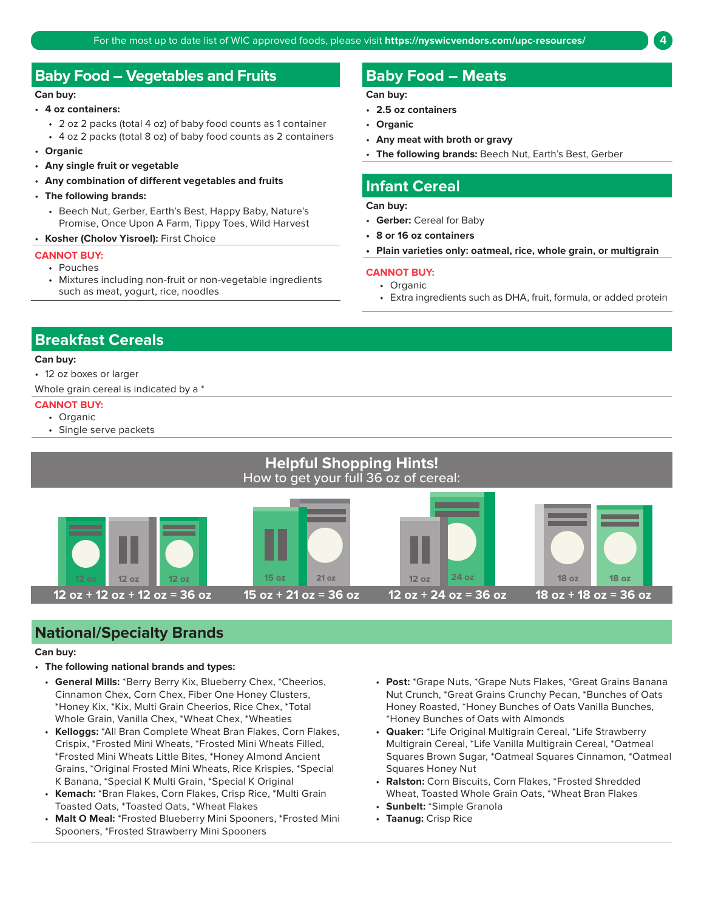## **Baby Food – Vegetables and Fruits Baby Food – Meats**

#### **Can buy:**

- **4 oz containers:** 
	- 2 oz 2 packs (total 4 oz) of baby food counts as 1 container
	- 4 oz 2 packs (total 8 oz) of baby food counts as 2 containers
- **Organic**
- **Any single fruit or vegetable**
- **Any combination of different vegetables and fruits**
- **The following brands:** 
	- Beech Nut, Gerber, Earth's Best, Happy Baby, Nature's Promise, Once Upon A Farm, Tippy Toes, Wild Harvest
- **Kosher (Cholov Yisroel):** First Choice

#### **CANNOT BUY:**

- Pouches
- Mixtures including non-fruit or non-vegetable ingredients such as meat, yogurt, rice, noodles

**Can buy:** 

- **2.5 oz containers**
- **Organic**
- **Any meat with broth or gravy**
- **The following brands:** Beech Nut, Earth's Best, Gerber

### **Infant Cereal**

**Can buy:** 

- **Gerber:** Cereal for Baby
- **8 or 16 oz containers**
- **Plain varieties only: oatmeal, rice, whole grain, or multigrain**

#### **CANNOT BUY:**

- Organic
- Extra ingredients such as DHA, fruit, formula, or added protein

## **Breakfast Cereals**

#### **Can buy:**

• 12 oz boxes or larger

Whole grain cereal is indicated by a \*

#### **CANNOT BUY:**

- Organic
- Single serve packets



## **National/Specialty Brands**

- **The following national brands and types:** 
	- **General Mills:** \*Berry Berry Kix, Blueberry Chex, \*Cheerios, Cinnamon Chex, Corn Chex, Fiber One Honey Clusters, \*Honey Kix, \*Kix, Multi Grain Cheerios, Rice Chex, \*Total Whole Grain, Vanilla Chex, \*Wheat Chex, \*Wheaties
	- **Kelloggs:** \*All Bran Complete Wheat Bran Flakes, Corn Flakes, Crispix, \*Frosted Mini Wheats, \*Frosted Mini Wheats Filled, \*Frosted Mini Wheats Little Bites, \*Honey Almond Ancient Grains, \*Original Frosted Mini Wheats, Rice Krispies, \*Special K Banana, \*Special K Multi Grain, \*Special K Original
	- **Kemach:** \*Bran Flakes, Corn Flakes, Crisp Rice, \*Multi Grain Toasted Oats, \*Toasted Oats, \*Wheat Flakes
	- **Malt O Meal:** \*Frosted Blueberry Mini Spooners, \*Frosted Mini Spooners, \*Frosted Strawberry Mini Spooners
- **Post:** \*Grape Nuts, \*Grape Nuts Flakes, \*Great Grains Banana Nut Crunch, \*Great Grains Crunchy Pecan, \*Bunches of Oats Honey Roasted, \*Honey Bunches of Oats Vanilla Bunches, \*Honey Bunches of Oats with Almonds
- **Quaker:** \*Life Original Multigrain Cereal, \*Life Strawberry Multigrain Cereal, \*Life Vanilla Multigrain Cereal, \*Oatmeal Squares Brown Sugar, \*Oatmeal Squares Cinnamon, \*Oatmeal Squares Honey Nut
- **Ralston:** Corn Biscuits, Corn Flakes, \*Frosted Shredded Wheat, Toasted Whole Grain Oats, \*Wheat Bran Flakes
- **Sunbelt:** \*Simple Granola
- **Taanug:** Crisp Rice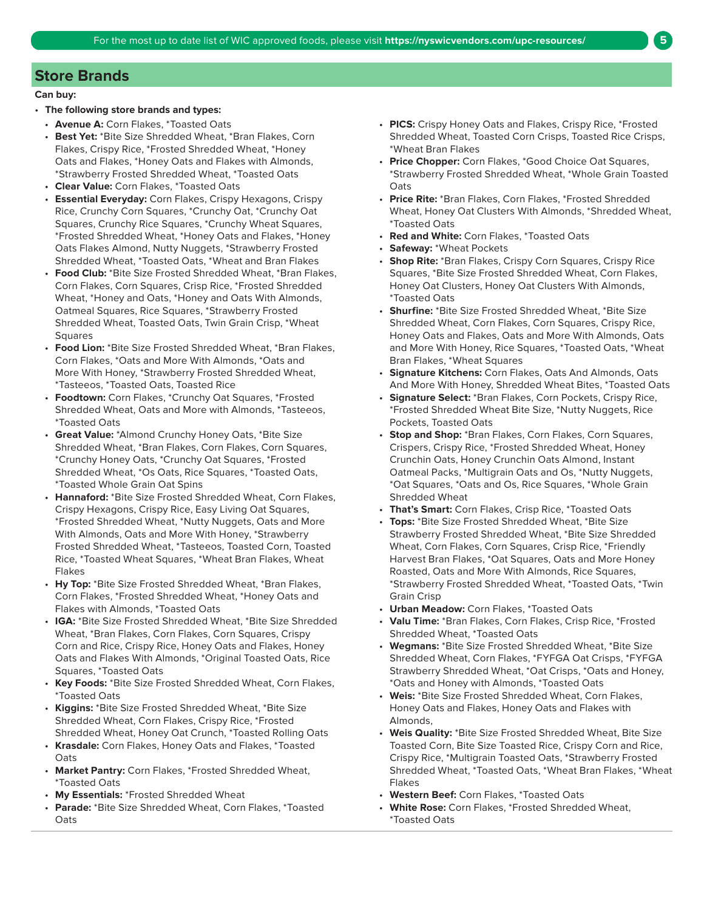## **Store Brands**

#### **Can buy:**

#### • **The following store brands and types:**

- **Avenue A:** Corn Flakes, \*Toasted Oats
- **Best Yet:** \*Bite Size Shredded Wheat, \*Bran Flakes, Corn Flakes, Crispy Rice, \*Frosted Shredded Wheat, \*Honey Oats and Flakes, \*Honey Oats and Flakes with Almonds, \*Strawberry Frosted Shredded Wheat, \*Toasted Oats
- **Clear Value:** Corn Flakes, \*Toasted Oats
- **Essential Everyday:** Corn Flakes, Crispy Hexagons, Crispy Rice, Crunchy Corn Squares, \*Crunchy Oat, \*Crunchy Oat Squares, Crunchy Rice Squares, \*Crunchy Wheat Squares, \*Frosted Shredded Wheat, \*Honey Oats and Flakes, \*Honey Oats Flakes Almond, Nutty Nuggets, \*Strawberry Frosted Shredded Wheat, \*Toasted Oats, \*Wheat and Bran Flakes
- **Food Club:** \*Bite Size Frosted Shredded Wheat, \*Bran Flakes, Corn Flakes, Corn Squares, Crisp Rice, \*Frosted Shredded Wheat, \*Honey and Oats, \*Honey and Oats With Almonds, Oatmeal Squares, Rice Squares, \*Strawberry Frosted Shredded Wheat, Toasted Oats, Twin Grain Crisp, \*Wheat **Squares**
- **Food Lion:** \*Bite Size Frosted Shredded Wheat, \*Bran Flakes, Corn Flakes, \*Oats and More With Almonds, \*Oats and More With Honey, \*Strawberry Frosted Shredded Wheat, \*Tasteeos, \*Toasted Oats, Toasted Rice
- **Foodtown:** Corn Flakes, \*Crunchy Oat Squares, \*Frosted Shredded Wheat, Oats and More with Almonds, \*Tasteeos, \*Toasted Oats
- **Great Value:** \*Almond Crunchy Honey Oats, \*Bite Size Shredded Wheat, \*Bran Flakes, Corn Flakes, Corn Squares, \*Crunchy Honey Oats, \*Crunchy Oat Squares, \*Frosted Shredded Wheat, \*Os Oats, Rice Squares, \*Toasted Oats, \*Toasted Whole Grain Oat Spins
- **Hannaford:** \*Bite Size Frosted Shredded Wheat, Corn Flakes, Crispy Hexagons, Crispy Rice, Easy Living Oat Squares, \*Frosted Shredded Wheat, \*Nutty Nuggets, Oats and More With Almonds, Oats and More With Honey, \*Strawberry Frosted Shredded Wheat, \*Tasteeos, Toasted Corn, Toasted Rice, \*Toasted Wheat Squares, \*Wheat Bran Flakes, Wheat Flakes
- **Hy Top:** \*Bite Size Frosted Shredded Wheat, \*Bran Flakes, Corn Flakes, \*Frosted Shredded Wheat, \*Honey Oats and Flakes with Almonds, \*Toasted Oats
- **IGA:** \*Bite Size Frosted Shredded Wheat, \*Bite Size Shredded Wheat, \*Bran Flakes, Corn Flakes, Corn Squares, Crispy Corn and Rice, Crispy Rice, Honey Oats and Flakes, Honey Oats and Flakes With Almonds, \*Original Toasted Oats, Rice Squares, \*Toasted Oats
- **Key Foods:** \*Bite Size Frosted Shredded Wheat, Corn Flakes, \*Toasted Oats
- **Kiggins:** \*Bite Size Frosted Shredded Wheat, \*Bite Size Shredded Wheat, Corn Flakes, Crispy Rice, \*Frosted Shredded Wheat, Honey Oat Crunch, \*Toasted Rolling Oats
- **Krasdale:** Corn Flakes, Honey Oats and Flakes, \*Toasted **O**ats
- **Market Pantry:** Corn Flakes, \*Frosted Shredded Wheat, \*Toasted Oats
- **My Essentials:** \*Frosted Shredded Wheat
- **Parade:** \*Bite Size Shredded Wheat, Corn Flakes, \*Toasted Oats
- **PICS:** Crispy Honey Oats and Flakes, Crispy Rice, \*Frosted Shredded Wheat, Toasted Corn Crisps, Toasted Rice Crisps, \*Wheat Bran Flakes
- **Price Chopper:** Corn Flakes, \*Good Choice Oat Squares, \*Strawberry Frosted Shredded Wheat, \*Whole Grain Toasted Oats
- **Price Rite:** \*Bran Flakes, Corn Flakes, \*Frosted Shredded Wheat, Honey Oat Clusters With Almonds, \*Shredded Wheat, \*Toasted Oats
- **Red and White:** Corn Flakes, \*Toasted Oats
- **Safeway:** \*Wheat Pockets
- **Shop Rite:** \*Bran Flakes, Crispy Corn Squares, Crispy Rice Squares, \*Bite Size Frosted Shredded Wheat, Corn Flakes, Honey Oat Clusters, Honey Oat Clusters With Almonds, \*Toasted Oats
- **Shurfine:** \*Bite Size Frosted Shredded Wheat, \*Bite Size Shredded Wheat, Corn Flakes, Corn Squares, Crispy Rice, Honey Oats and Flakes, Oats and More With Almonds, Oats and More With Honey, Rice Squares, \*Toasted Oats, \*Wheat Bran Flakes, \*Wheat Squares
- **Signature Kitchens:** Corn Flakes, Oats And Almonds, Oats And More With Honey, Shredded Wheat Bites, \*Toasted Oats
- **Signature Select:** \*Bran Flakes, Corn Pockets, Crispy Rice, \*Frosted Shredded Wheat Bite Size, \*Nutty Nuggets, Rice Pockets, Toasted Oats
- **Stop and Shop:** \*Bran Flakes, Corn Flakes, Corn Squares, Crispers, Crispy Rice, \*Frosted Shredded Wheat, Honey Crunchin Oats, Honey Crunchin Oats Almond, Instant Oatmeal Packs, \*Multigrain Oats and Os, \*Nutty Nuggets, \*Oat Squares, \*Oats and Os, Rice Squares, \*Whole Grain Shredded Wheat
- **That's Smart:** Corn Flakes, Crisp Rice, \*Toasted Oats
- **Tops:** \*Bite Size Frosted Shredded Wheat, \*Bite Size Strawberry Frosted Shredded Wheat, \*Bite Size Shredded Wheat, Corn Flakes, Corn Squares, Crisp Rice, \*Friendly Harvest Bran Flakes, \*Oat Squares, Oats and More Honey Roasted, Oats and More With Almonds, Rice Squares, \*Strawberry Frosted Shredded Wheat, \*Toasted Oats, \*Twin Grain Crisp
- **Urban Meadow:** Corn Flakes, \*Toasted Oats
- **Valu Time:** \*Bran Flakes, Corn Flakes, Crisp Rice, \*Frosted Shredded Wheat, \*Toasted Oats
- **Wegmans:** \*Bite Size Frosted Shredded Wheat, \*Bite Size Shredded Wheat, Corn Flakes, \*FYFGA Oat Crisps, \*FYFGA Strawberry Shredded Wheat, \*Oat Crisps, \*Oats and Honey, \*Oats and Honey with Almonds, \*Toasted Oats
- **Weis:** \*Bite Size Frosted Shredded Wheat, Corn Flakes, Honey Oats and Flakes, Honey Oats and Flakes with Almonds,
- **Weis Quality:** \*Bite Size Frosted Shredded Wheat, Bite Size Toasted Corn, Bite Size Toasted Rice, Crispy Corn and Rice, Crispy Rice, \*Multigrain Toasted Oats, \*Strawberry Frosted Shredded Wheat, \*Toasted Oats, \*Wheat Bran Flakes, \*Wheat Flakes
- **Western Beef:** Corn Flakes, \*Toasted Oats
- **White Rose:** Corn Flakes, \*Frosted Shredded Wheat, \*Toasted Oats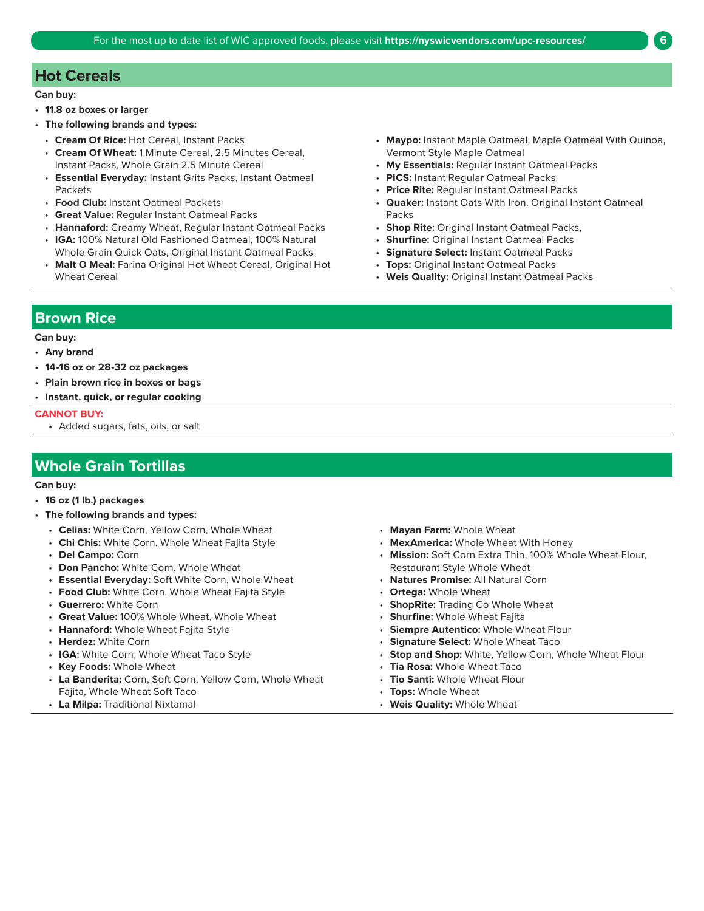## **Hot Cereals**

#### **Can buy:**

- **11.8 oz boxes or larger**
- **The following brands and types:**
- 
- **Cream Of Wheat:** 1 Minute Cereal, 2.5 Minutes Cereal, Vermont Style Maple Oatmeal
- **Essential Everyday:** Instant Grits Packs, Instant Oatmeal **PICS:** Instant Regular Oatmeal Packs Packets • **Price Rite:** Regular Instant Oatmeal Packs
- 
- **Great Value:** Regular Instant Oatmeal Packs Packs
- **Hannaford:** Creamy Wheat, Regular Instant Oatmeal Packs **Shop Rite:** Original Instant Oatmeal Packs,
- **IGA:** 100% Natural Old Fashioned Oatmeal, 100% Natural **Shurfine:** Original Instant Oatmeal Packs Whole Grain Quick Oats, Original Instant Oatmeal Packs • **Signature Select:** Instant Oatmeal Packs
- **Malt O Meal:** Farina Original Hot Wheat Cereal, Original Hot **Tops:** Original Instant Oatmeal Packs Wheat Cereal • **Weis Quality:** Original Instant Oatmeal Packs
- **Cream Of Rice:** Hot Cereal, Instant Packs **Maypo:** Instant Maple Oatmeal, Maple Oatmeal With Quinoa,
	- Instant Packs, Whole Grain 2.5 Minute Cereal **My Essentials:** Regular Instant Oatmeal Packs
		-
		-
- **Food Club:** Instant Oatmeal Packets **Quaker:** Instant Oats With Iron, Original Instant Oatmeal
	-
	-
	-
	-
	-

#### **Brown Rice**

#### **Can buy:**

#### • **Any brand**

- **14-16 oz or 28-32 oz packages**
- **Plain brown rice in boxes or bags**
- **Instant, quick, or regular cooking**

#### **CANNOT BUY:**

• Added sugars, fats, oils, or salt

## **Whole Grain Tortillas**

- **16 oz (1 lb.) packages**
- **The following brands and types:** 
	- Celias: White Corn, Yellow Corn, Whole Wheat  **Mayan Farm:** Whole Wheat
	- **Chi Chis:** White Corn, Whole Wheat Fajita Style **MexAmerica:** Whole Wheat With Honey
	-
	- **Don Pancho:** White Corn, Whole Wheat Restaurant Style Whole Wheat Restaurant Style Whole Wheat
	- **Essential Everyday:** Soft White Corn, Whole Wheat **Natures Promise:** All Natural Corn
	- **Food Club:** White Corn, Whole Wheat Fajita Style **Ortega:** Whole Wheat
	-
	- **Great Value:** 100% Whole Wheat, Whole Wheat **Shurfine:** Whole Wheat Fajita
	-
	-
	-
	-
	- **La Banderita:** Corn, Soft Corn, Yellow Corn, Whole Wheat **Tio Santi:** Whole Wheat Flour Fajita, Whole Wheat Soft Taco • **Tops:** Whole Wheat
	- **La Milpa:** Traditional Nixtamal **Weis Quality:** Whole Wheat
- 
- 
- **Del Campo:** Corn *Mission: Soft Corn Extra Thin, 100% Whole Wheat Flour,* **<b>• Mission: Soft Corn Extra Thin, 100% Whole Wheat Flour,** 
	-
	-
- **Guerrero:** White Corn **ShopRite:** Trading Co Whole Wheat
	-
- **Hannaford:** Whole Wheat Fajita Style **Siempre Autentico:** Whole Wheat Flour
- **Herdez:** White Corn **Signature Select:** Whole Wheat Taco
- **IGA:** White Corn, Whole Wheat Taco Style **Stop and Shop:** White, Yellow Corn, Whole Wheat Flour
- **Key Foods:** Whole Wheat **Tia Rosa:** Whole Wheat Taco
	-
	-
	-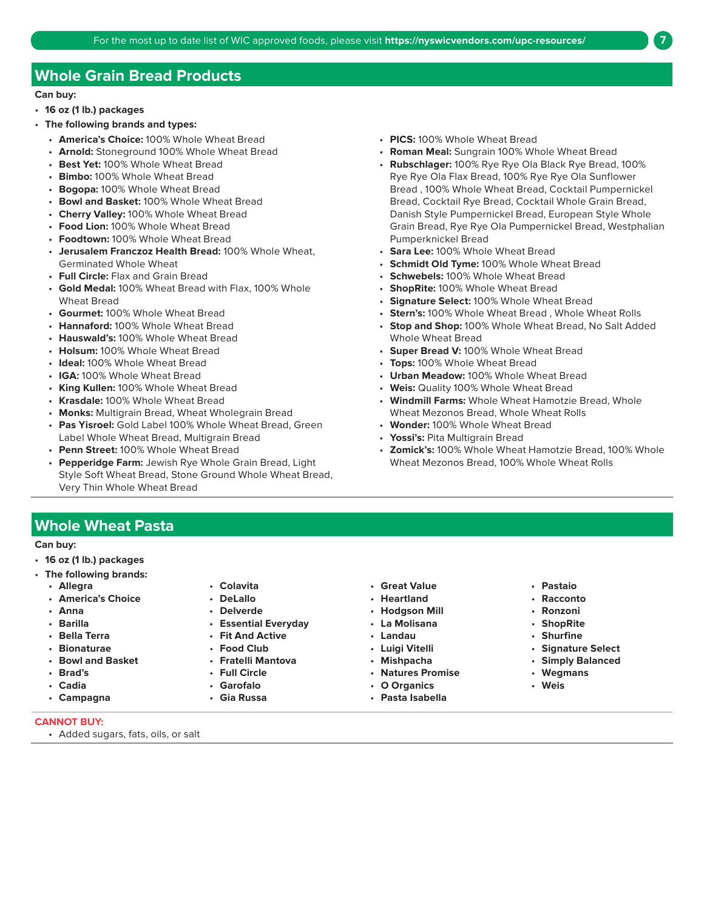## **Whole Grain Bread Products**

#### **Can buy:**

- **16 oz (1 lb.) packages**
- **The following brands and types:** 
	- **America's Choice:** 100% Whole Wheat Bread
	- **Arnold:** Stoneground 100% Whole Wheat Bread
	- **Best Yet:** 100% Whole Wheat Bread
	- **Bimbo:** 100% Whole Wheat Bread
	- **Bogopa:** 100% Whole Wheat Bread
	- **Bowl and Basket:** 100% Whole Wheat Bread
	- **Cherry Valley:** 100% Whole Wheat Bread
	- **Food Lion:** 100% Whole Wheat Bread
	- **Foodtown:** 100% Whole Wheat Bread
	- • **Jerusalem Franczoz Health Bread:** 100% Whole Wheat, Germinated Whole Wheat
	- **Full Circle:** Flax and Grain Bread
	- **Gold Medal:** 100% Wheat Bread with Flax, 100% Whole Wheat Bread
	- **Gourmet:** 100% Whole Wheat Bread
	- **Hannaford:** 100% Whole Wheat Bread
	- **Hauswald's:** 100% Whole Wheat Bread
	- **Holsum:** 100% Whole Wheat Bread
	- **Ideal:** 100% Whole Wheat Bread
	- **IGA:** 100% Whole Wheat Bread
	- **King Kullen:** 100% Whole Wheat Bread
	- **Krasdale:** 100% Whole Wheat Bread
	- **Monks:** Multigrain Bread, Wheat Wholegrain Bread
	- **Pas Yisroel:** Gold Label 100% Whole Wheat Bread, Green Label Whole Wheat Bread, Multigrain Bread
	- **Penn Street:** 100% Whole Wheat Bread
	- • **Pepperidge Farm:** Jewish Rye Whole Grain Bread, Light Style Soft Wheat Bread, Stone Ground Whole Wheat Bread, Very Thin Whole Wheat Bread
- **PICS:** 100% Whole Wheat Bread
- **Roman Meal:** Sungrain 100% Whole Wheat Bread
- **Rubschlager:** 100% Rye Rye Ola Black Rye Bread, 100% Rye Rye Ola Flax Bread, 100% Rye Rye Ola Sunflower Bread , 100% Whole Wheat Bread, Cocktail Pumpernickel Bread, Cocktail Rye Bread, Cocktail Whole Grain Bread, Danish Style Pumpernickel Bread, European Style Whole Grain Bread, Rye Rye Ola Pumpernickel Bread, Westphalian Pumperknickel Bread
- **Sara Lee:** 100% Whole Wheat Bread
- **Schmidt Old Tyme:** 100% Whole Wheat Bread
- **Schwebels:** 100% Whole Wheat Bread
- $\ddot{\phantom{0}}$ • **ShopRite:** 100% Whole Wheat Bread
- **Signature Select: 100% Whole Wheat Bread**
- $\ddot{\phantom{0}}$ • **Stern's:** 100% Whole Wheat Bread , Whole Wheat Rolls
- **Stop and Shop:** 100% Whole Wheat Bread, No Salt Added Whole Wheat Bread
- **Super Bread V:** 100% Whole Wheat Bread
- **Tops:** 100% Whole Wheat Bread
- **Urban Meadow:** 100% Whole Wheat Bread
- **Weis:** Quality 100% Whole Wheat Bread
- **Windmill Farms:** Whole Wheat Hamotzie Bread, Whole Wheat Mezonos Bread, Whole Wheat Rolls
- **Wonder:** 100% Whole Wheat Bread
- **Yossi's:** Pita Multigrain Bread
- **Zomick's:** 100% Whole Wheat Hamotzie Bread, 100% Whole Wheat Mezonos Bread, 100% Whole Wheat Rolls

**Whole Wheat Pasta** 

- **16 oz (1 lb.) packages**
- **The following brands:** 
	-
	-
	-
	-
	-
	-
	-
	-
	-
	-
- 
- 
- 
- **Barilla Essential Everyday La Molisana ShopRite**
- **Bella Terra Fit And Active Landau Shurfine** 
	-
	- **Bowl and Basket Fratelli Mantova Mishpacha Simply Balanced**
	-
- **Cadia Garofalo O Organics Weis** 
	-
- 
- **America's Choice DeLallo Heartland Racconto** 
	-
	-
	-
	-
	-
	-
	-
- **Allegra Colavita Great Value Pastaio** 
	-
	-
	-
	-
- **Bionaturae Food Club Luigi Vitelli Signature Select** 
	-
- **Brad's Full Circle Natures Promise Wegmans** 
	-
- **CANNOT BUY:**  • Added sugars, fats, oils, or salt
- 
- 
- **Campagna Gia Russa Pasta Isabella**
- **Anna Delverde Hodgson Mill Ronzoni** 
	-
	-
	-
	-
	-
	-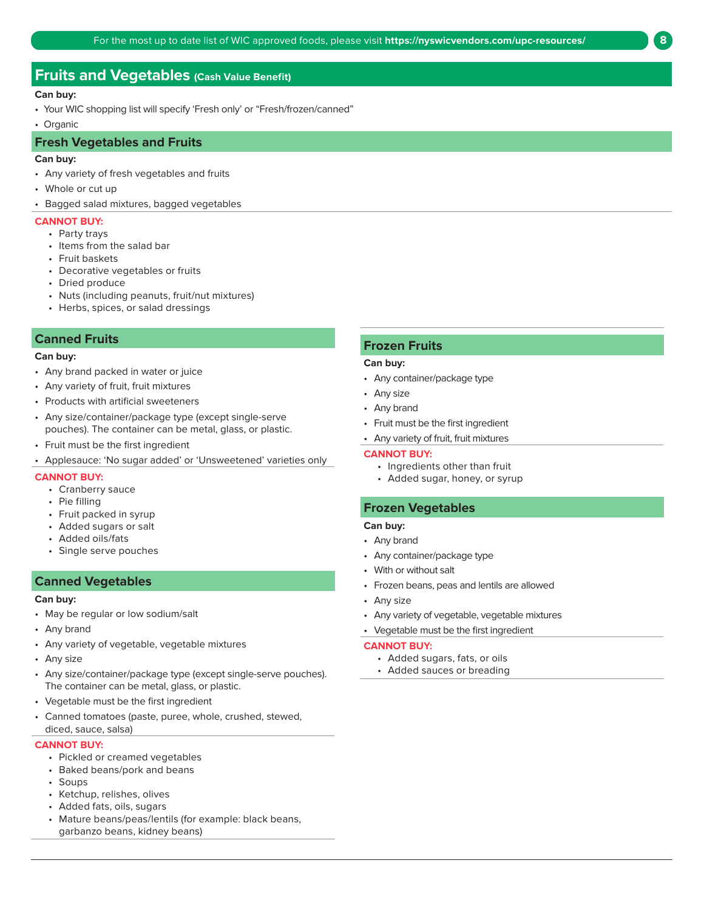## **Fruits and Vegetables (Cash Value Benefit)**

#### **Can buy:**

- Your WIC shopping list will specify 'Fresh only' or "Fresh/frozen/canned"
- Organic

#### **Fresh Vegetables and Fruits**

#### **Can buy:**

- Any variety of fresh vegetables and fruits
- Whole or cut up
- Bagged salad mixtures, bagged vegetables

#### **CANNOT BUY:**

- Party trays
- Items from the salad bar
- Fruit baskets
- Decorative vegetables or fruits
- Dried produce
- Nuts (including peanuts, fruit/nut mixtures)
- Herbs, spices, or salad dressings

#### **Canned Fruits**

#### **Can buy:**

- Any brand packed in water or juice
- Any variety of fruit, fruit mixtures
- Products with artificial sweeteners
- Any size/container/package type (except single-serve pouches). The container can be metal, glass, or plastic.
- Fruit must be the first ingredient
- Applesauce: 'No sugar added' or 'Unsweetened' varieties only

#### **CANNOT BUY:**

- Cranberry sauce
- Pie filling
- Fruit packed in syrup
- Added sugars or salt
- Added oils/fats
- Single serve pouches

#### **Canned Vegetables**

#### **Can buy:**

- May be regular or low sodium/salt
- Any brand
- Any variety of vegetable, vegetable mixtures
- Any size
- Any size/container/package type (except single-serve pouches). The container can be metal, glass, or plastic.
- Vegetable must be the first ingredient
- Canned tomatoes (paste, puree, whole, crushed, stewed, diced, sauce, salsa)

#### **CANNOT BUY:**

- Pickled or creamed vegetables
- Baked beans/pork and beans
- Soups
- Ketchup, relishes, olives
- Added fats, oils, sugars
- Mature beans/peas/lentils (for example: black beans, garbanzo beans, kidney beans)

#### **Frozen Fruits**

#### **Can buy:**

- Any container/package type
- Any size
- Any brand
- Fruit must be the first ingredient
- Any variety of fruit, fruit mixtures

#### **CANNOT BUY:**

- Ingredients other than fruit
- Added sugar, honey, or syrup

#### **Frozen Vegetables**

#### **Can buy:**

- Any brand
- Any container/package type
- With or without salt
- Frozen beans, peas and lentils are allowed
- Any size
- Any variety of vegetable, vegetable mixtures
- Vegetable must be the first ingredient

#### **CANNOT BUY:**

- Added sugars, fats, or oils
- Added sauces or breading